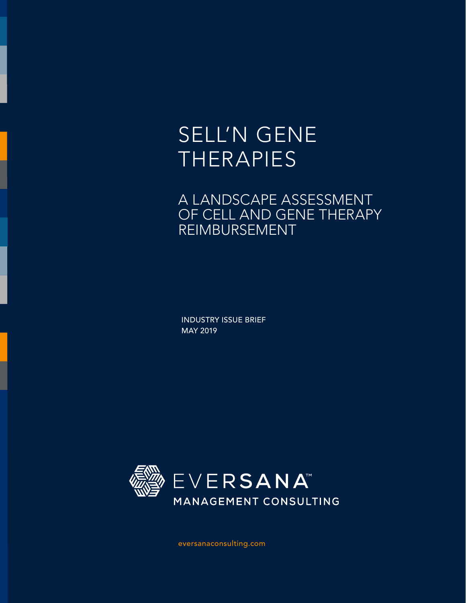# SELL'N GENE THERAPIES

# A LANDSCAPE ASSESSMENT OF CELL AND GENE THERAPY REIMBURSEMENT

INDUSTRY ISSUE BRIEF MAY 2019



eversanaconsulting.com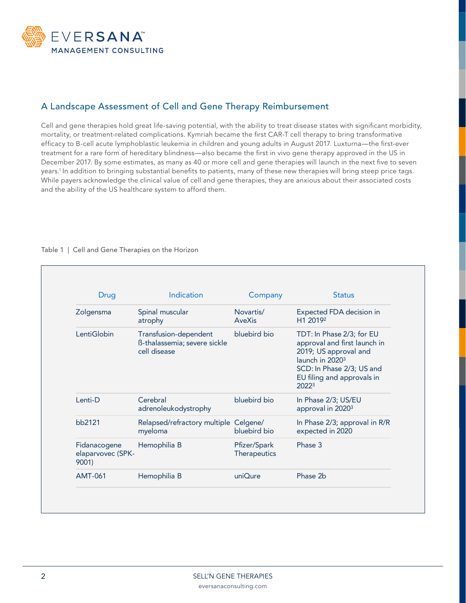

# A Landscape Assessment of Cell and Gene Therapy Reimbursement

Cell and gene therapies hold great life-saving potential, with the ability to treat disease states with significant morbidity, mortality, or treatment-related complications. Kymriah became the first CAR-T cell therapy to bring transformative efficacy to B-cell acute lymphoblastic leukemia in children and young adults in August 2017. Luxturna—the first-ever treatment for a rare form of hereditary blindness—also became the first in vivo gene therapy approved in the US in December 2017. By some estimates, as many as 40 or more cell and gene therapies will launch in the next five to seven years.1 In addition to bringing substantial benefits to patients, many of these new therapies will bring steep price tags. While payers acknowledge the clinical value of cell and gene therapies, they are anxious about their associated costs and the ability of the US healthcare system to afford them.

| <b>Drug</b>                                | Indication                                                            | Company                      | <b>Status</b>                                                                                                                                                                         |
|--------------------------------------------|-----------------------------------------------------------------------|------------------------------|---------------------------------------------------------------------------------------------------------------------------------------------------------------------------------------|
| Zolgensma                                  | Spinal muscular<br>atrophy                                            | Novartis/<br><b>AveXis</b>   | Expected FDA decision in<br>H1 2019 <sup>2</sup>                                                                                                                                      |
| LentiGlobin                                | Transfusion-dependent<br>ß-thalassemia; severe sickle<br>cell disease | bluebird bio                 | TDT: In Phase 2/3; for EU<br>approval and first launch in<br>2019; US approval and<br>launch in 2020 <sup>3</sup><br>SCD: In Phase 2/3; US and<br>EU filing and approvals in<br>20223 |
| Lenti-D                                    | Cerebral<br>adrenoleukodystrophy                                      | bluebird bio                 | In Phase 2/3; US/EU<br>approval in 2020 <sup>3</sup>                                                                                                                                  |
| bb2121                                     | Relapsed/refractory multiple Celgene/<br>myeloma                      | bluebird bio                 | In Phase 2/3; approval in R/R<br>expected in 2020                                                                                                                                     |
| Fidanacogene<br>elaparvovec (SPK-<br>9001) | Hemophilia B                                                          | Pfizer/Spark<br>Therapeutics | Phase 3                                                                                                                                                                               |
| <b>AMT-061</b>                             | Hemophilia B                                                          | uniQure                      | Phase 2b                                                                                                                                                                              |

#### Table 1 | Cell and Gene Therapies on the Horizon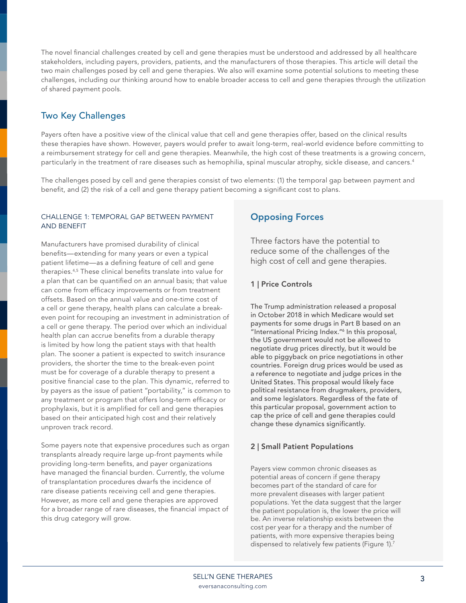The novel financial challenges created by cell and gene therapies must be understood and addressed by all healthcare stakeholders, including payers, providers, patients, and the manufacturers of those therapies. This article will detail the two main challenges posed by cell and gene therapies. We also will examine some potential solutions to meeting these challenges, including our thinking around how to enable broader access to cell and gene therapies through the utilization of shared payment pools.

# Two Key Challenges

Payers often have a positive view of the clinical value that cell and gene therapies offer, based on the clinical results these therapies have shown. However, payers would prefer to await long-term, real-world evidence before committing to a reimbursement strategy for cell and gene therapies. Meanwhile, the high cost of these treatments is a growing concern, particularly in the treatment of rare diseases such as hemophilia, spinal muscular atrophy, sickle disease, and cancers.4

The challenges posed by cell and gene therapies consist of two elements: (1) the temporal gap between payment and benefit, and (2) the risk of a cell and gene therapy patient becoming a significant cost to plans.

#### CHALLENGE 1: TEMPORAL GAP BETWEEN PAYMENT AND BENEFIT

Manufacturers have promised durability of clinical benefits—extending for many years or even a typical patient lifetime—as a defining feature of cell and gene therapies.4,5 These clinical benefits translate into value for a plan that can be quantified on an annual basis; that value can come from efficacy improvements or from treatment offsets. Based on the annual value and one-time cost of a cell or gene therapy, health plans can calculate a breakeven point for recouping an investment in administration of a cell or gene therapy. The period over which an individual health plan can accrue benefits from a durable therapy is limited by how long the patient stays with that health plan. The sooner a patient is expected to switch insurance providers, the shorter the time to the break-even point must be for coverage of a durable therapy to present a positive financial case to the plan. This dynamic, referred to by payers as the issue of patient "portability," is common to any treatment or program that offers long-term efficacy or prophylaxis, but it is amplified for cell and gene therapies based on their anticipated high cost and their relatively unproven track record.

Some payers note that expensive procedures such as organ transplants already require large up-front payments while providing long-term benefits, and payer organizations have managed the financial burden. Currently, the volume of transplantation procedures dwarfs the incidence of rare disease patients receiving cell and gene therapies. However, as more cell and gene therapies are approved for a broader range of rare diseases, the financial impact of this drug category will grow.

# Opposing Forces

Three factors have the potential to reduce some of the challenges of the high cost of cell and gene therapies.

### 1 | Price Controls

The Trump administration released a proposal in October 2018 in which Medicare would set payments for some drugs in Part B based on an "International Pricing Index."6 In this proposal, the US government would not be allowed to negotiate drug prices directly, but it would be able to piggyback on price negotiations in other countries. Foreign drug prices would be used as a reference to negotiate and judge prices in the United States. This proposal would likely face political resistance from drugmakers, providers, and some legislators. Regardless of the fate of this particular proposal, government action to cap the price of cell and gene therapies could change these dynamics significantly.

# 2 | Small Patient Populations

Payers view common chronic diseases as potential areas of concern if gene therapy becomes part of the standard of care for more prevalent diseases with larger patient populations. Yet the data suggest that the larger the patient population is, the lower the price will be. An inverse relationship exists between the cost per year for a therapy and the number of patients, with more expensive therapies being dispensed to relatively few patients (Figure 1).<sup>7</sup>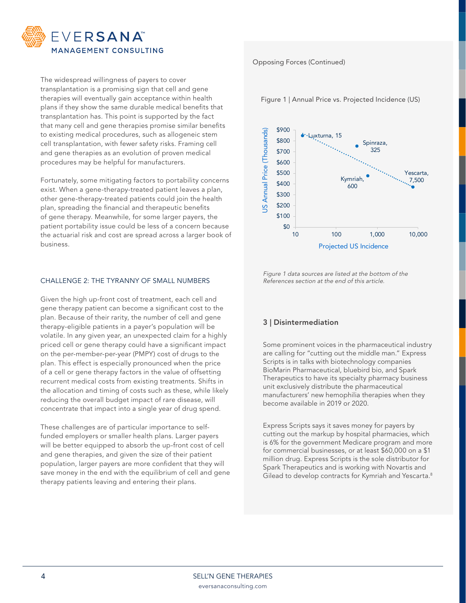

The widespread willingness of payers to cover transplantation is a promising sign that cell and gene therapies will eventually gain acceptance within health plans if they show the same durable medical benefits that transplantation has. This point is supported by the fact that many cell and gene therapies promise similar benefits to existing medical procedures, such as allogeneic stem cell transplantation, with fewer safety risks. Framing cell and gene therapies as an evolution of proven medical procedures may be helpful for manufacturers.

Fortunately, some mitigating factors to portability concerns exist. When a gene-therapy-treated patient leaves a plan, other gene-therapy-treated patients could join the health plan, spreading the financial and therapeutic benefits of gene therapy. Meanwhile, for some larger payers, the patient portability issue could be less of a concern because the actuarial risk and cost are spread across a larger book of business.

#### CHALLENGE 2: THE TYRANNY OF SMALL NUMBERS

Given the high up-front cost of treatment, each cell and gene therapy patient can become a significant cost to the plan. Because of their rarity, the number of cell and gene therapy-eligible patients in a payer's population will be volatile. In any given year, an unexpected claim for a highly priced cell or gene therapy could have a significant impact on the per-member-per-year (PMPY) cost of drugs to the plan. This effect is especially pronounced when the price of a cell or gene therapy factors in the value of offsetting recurrent medical costs from existing treatments. Shifts in the allocation and timing of costs such as these, while likely reducing the overall budget impact of rare disease, will concentrate that impact into a single year of drug spend.

These challenges are of particular importance to selffunded employers or smaller health plans. Larger payers will be better equipped to absorb the up-front cost of cell and gene therapies, and given the size of their patient population, larger payers are more confident that they will save money in the end with the equilibrium of cell and gene therapy patients leaving and entering their plans.

#### Opposing Forces (Continued)

Figure 1 | Annual Price vs. Projected Incidence (US)



Figure 1 data sources are listed at the bottom of the References section at the end of this article.

# 3 | Disintermediation

Some prominent voices in the pharmaceutical industry are calling for "cutting out the middle man." Express Scripts is in talks with biotechnology companies BioMarin Pharmaceutical, bluebird bio, and Spark Therapeutics to have its specialty pharmacy business unit exclusively distribute the pharmaceutical manufacturers' new hemophilia therapies when they become available in 2019 or 2020.

Express Scripts says it saves money for payers by cutting out the markup by hospital pharmacies, which is 6% for the government Medicare program and more for commercial businesses, or at least \$60,000 on a \$1 million drug. Express Scripts is the sole distributor for Spark Therapeutics and is working with Novartis and Gilead to develop contracts for Kymriah and Yescarta.<sup>8</sup>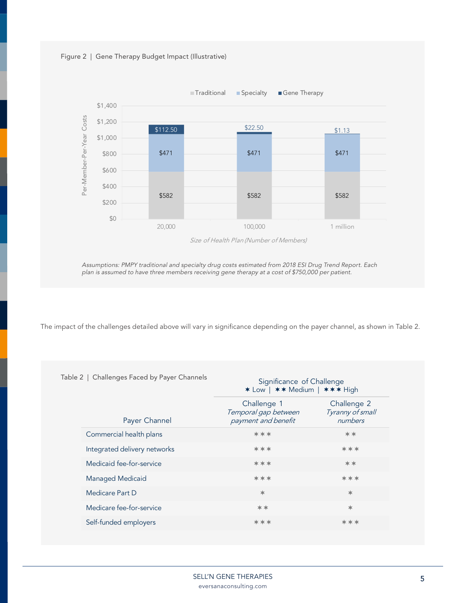



Assumptions: PMPY traditional and specialty drug costs estimated from 2018 ESI Drug Trend Report. Each plan is assumed to have three members receiving gene therapy at a cost of \$750,000 per patient.

The impact of the challenges detailed above will vary in significance depending on the payer channel, as shown in Table 2.

| Table 2   Challenges Faced by Payer Channels | Significance of Challenge<br>* Low   ** Medium   *** High  |                                            |  |
|----------------------------------------------|------------------------------------------------------------|--------------------------------------------|--|
| Payer Channel                                | Challenge 1<br>Temporal gap between<br>payment and benefit | Challenge 2<br>Tyranny of small<br>numbers |  |
| Commercial health plans                      | ***                                                        | **                                         |  |
| Integrated delivery networks                 | ***                                                        | ***                                        |  |
| Medicaid fee-for-service                     | ***                                                        | **                                         |  |
| Managed Medicaid                             | ***                                                        | ***                                        |  |
| Medicare Part D                              | $*$                                                        | 水                                          |  |
| Medicare fee-for-service                     | **                                                         | $\ast$                                     |  |
| Self-funded employers                        | ***                                                        | ***                                        |  |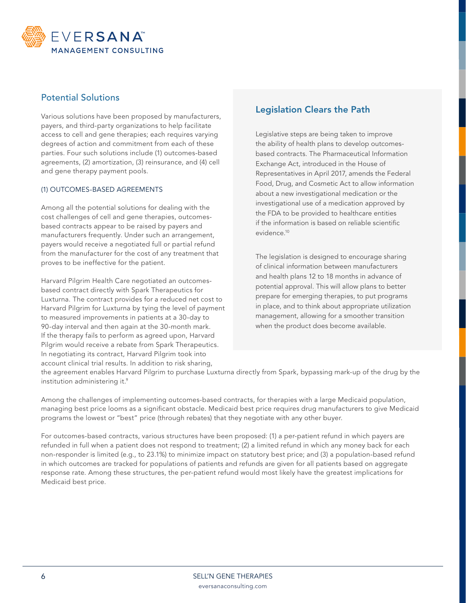

# Potential Solutions

Various solutions have been proposed by manufacturers, payers, and third-party organizations to help facilitate access to cell and gene therapies; each requires varying degrees of action and commitment from each of these parties. Four such solutions include (1) outcomes-based agreements, (2) amortization, (3) reinsurance, and (4) cell and gene therapy payment pools.

#### (1) OUTCOMES-BASED AGREEMENTS

Among all the potential solutions for dealing with the cost challenges of cell and gene therapies, outcomesbased contracts appear to be raised by payers and manufacturers frequently. Under such an arrangement, payers would receive a negotiated full or partial refund from the manufacturer for the cost of any treatment that proves to be ineffective for the patient.

Harvard Pilgrim Health Care negotiated an outcomesbased contract directly with Spark Therapeutics for Luxturna. The contract provides for a reduced net cost to Harvard Pilgrim for Luxturna by tying the level of payment to measured improvements in patients at a 30-day to 90-day interval and then again at the 30-month mark. If the therapy fails to perform as agreed upon, Harvard Pilgrim would receive a rebate from Spark Therapeutics. In negotiating its contract, Harvard Pilgrim took into account clinical trial results. In addition to risk sharing,

# Legislation Clears the Path

Legislative steps are being taken to improve the ability of health plans to develop outcomesbased contracts. The Pharmaceutical Information Exchange Act, introduced in the House of Representatives in April 2017, amends the Federal Food, Drug, and Cosmetic Act to allow information about a new investigational medication or the investigational use of a medication approved by the FDA to be provided to healthcare entities if the information is based on reliable scientific evidence.10

The legislation is designed to encourage sharing of clinical information between manufacturers and health plans 12 to 18 months in advance of potential approval. This will allow plans to better prepare for emerging therapies, to put programs in place, and to think about appropriate utilization management, allowing for a smoother transition when the product does become available.

the agreement enables Harvard Pilgrim to purchase Luxturna directly from Spark, bypassing mark-up of the drug by the institution administering it.9

Among the challenges of implementing outcomes-based contracts, for therapies with a large Medicaid population, managing best price looms as a significant obstacle. Medicaid best price requires drug manufacturers to give Medicaid programs the lowest or "best" price (through rebates) that they negotiate with any other buyer.

For outcomes-based contracts, various structures have been proposed: (1) a per-patient refund in which payers are refunded in full when a patient does not respond to treatment; (2) a limited refund in which any money back for each non-responder is limited (e.g., to 23.1%) to minimize impact on statutory best price; and (3) a population-based refund in which outcomes are tracked for populations of patients and refunds are given for all patients based on aggregate response rate. Among these structures, the per-patient refund would most likely have the greatest implications for Medicaid best price.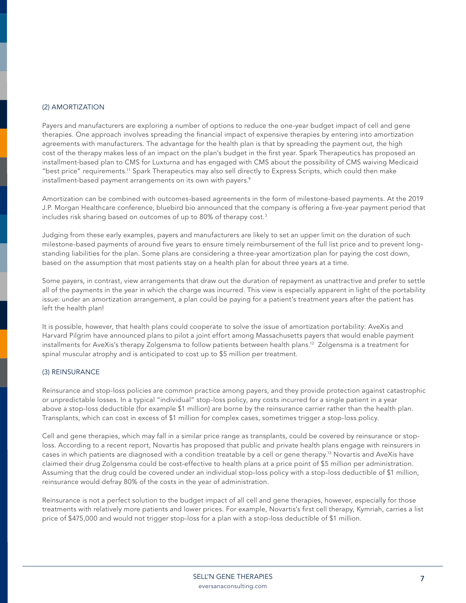#### (2) AMORTIZATION

Payers and manufacturers are exploring a number of options to reduce the one-year budget impact of cell and gene therapies. One approach involves spreading the financial impact of expensive therapies by entering into amortization agreements with manufacturers. The advantage for the health plan is that by spreading the payment out, the high cost of the therapy makes less of an impact on the plan's budget in the first year. Spark Therapeutics has proposed an installment-based plan to CMS for Luxturna and has engaged with CMS about the possibility of CMS waiving Medicaid "best price" requirements.11 Spark Therapeutics may also sell directly to Express Scripts, which could then make installment-based payment arrangements on its own with payers.<sup>9</sup>

Amortization can be combined with outcomes-based agreements in the form of milestone-based payments. At the 2019 J.P. Morgan Healthcare conference, bluebird bio announced that the company is offering a five-year payment period that includes risk sharing based on outcomes of up to 80% of therapy cost.<sup>3</sup>

Judging from these early examples, payers and manufacturers are likely to set an upper limit on the duration of such milestone-based payments of around five years to ensure timely reimbursement of the full list price and to prevent longstanding liabilities for the plan. Some plans are considering a three-year amortization plan for paying the cost down, based on the assumption that most patients stay on a health plan for about three years at a time.

Some payers, in contrast, view arrangements that draw out the duration of repayment as unattractive and prefer to settle all of the payments in the year in which the charge was incurred. This view is especially apparent in light of the portability issue: under an amortization arrangement, a plan could be paying for a patient's treatment years after the patient has left the health plan!

It is possible, however, that health plans could cooperate to solve the issue of amortization portability: AveXis and Harvard Pilgrim have announced plans to pilot a joint effort among Massachusetts payers that would enable payment installments for AveXis's therapy Zolgensma to follow patients between health plans.12 Zolgensma is a treatment for spinal muscular atrophy and is anticipated to cost up to \$5 million per treatment.

#### (3) REINSURANCE

Reinsurance and stop-loss policies are common practice among payers, and they provide protection against catastrophic or unpredictable losses. In a typical "individual" stop-loss policy, any costs incurred for a single patient in a year above a stop-loss deductible (for example \$1 million) are borne by the reinsurance carrier rather than the health plan. Transplants, which can cost in excess of \$1 million for complex cases, sometimes trigger a stop-loss policy.

Cell and gene therapies, which may fall in a similar price range as transplants, could be covered by reinsurance or stoploss. According to a recent report, Novartis has proposed that public and private health plans engage with reinsurers in cases in which patients are diagnosed with a condition treatable by a cell or gene therapy.13 Novartis and AveXis have claimed their drug Zolgensma could be cost-effective to health plans at a price point of \$5 million per administration. Assuming that the drug could be covered under an individual stop-loss policy with a stop-loss deductible of \$1 million, reinsurance would defray 80% of the costs in the year of administration.

Reinsurance is not a perfect solution to the budget impact of all cell and gene therapies, however, especially for those treatments with relatively more patients and lower prices. For example, Novartis's first cell therapy, Kymriah, carries a list price of \$475,000 and would not trigger stop-loss for a plan with a stop-loss deductible of \$1 million.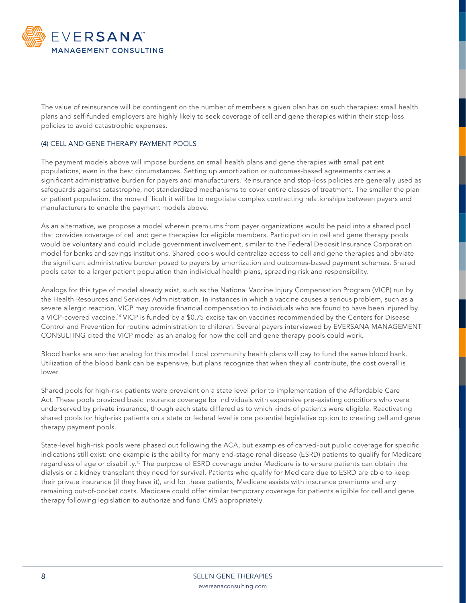

The value of reinsurance will be contingent on the number of members a given plan has on such therapies: small health plans and self-funded employers are highly likely to seek coverage of cell and gene therapies within their stop-loss policies to avoid catastrophic expenses.

#### (4) CELL AND GENE THERAPY PAYMENT POOLS

The payment models above will impose burdens on small health plans and gene therapies with small patient populations, even in the best circumstances. Setting up amortization or outcomes-based agreements carries a significant administrative burden for payers and manufacturers. Reinsurance and stop-loss policies are generally used as safeguards against catastrophe, not standardized mechanisms to cover entire classes of treatment. The smaller the plan or patient population, the more difficult it will be to negotiate complex contracting relationships between payers and manufacturers to enable the payment models above.

As an alternative, we propose a model wherein premiums from payer organizations would be paid into a shared pool that provides coverage of cell and gene therapies for eligible members. Participation in cell and gene therapy pools would be voluntary and could include government involvement, similar to the Federal Deposit Insurance Corporation model for banks and savings institutions. Shared pools would centralize access to cell and gene therapies and obviate the significant administrative burden posed to payers by amortization and outcomes-based payment schemes. Shared pools cater to a larger patient population than individual health plans, spreading risk and responsibility.

Analogs for this type of model already exist, such as the National Vaccine Injury Compensation Program (VICP) run by the Health Resources and Services Administration. In instances in which a vaccine causes a serious problem, such as a severe allergic reaction, VICP may provide financial compensation to individuals who are found to have been injured by a VICP-covered vaccine.14 VICP is funded by a \$0.75 excise tax on vaccines recommended by the Centers for Disease Control and Prevention for routine administration to children. Several payers interviewed by EVERSANA MANAGEMENT CONSULTING cited the VICP model as an analog for how the cell and gene therapy pools could work.

Blood banks are another analog for this model. Local community health plans will pay to fund the same blood bank. Utilization of the blood bank can be expensive, but plans recognize that when they all contribute, the cost overall is lower.

Shared pools for high-risk patients were prevalent on a state level prior to implementation of the Affordable Care Act. These pools provided basic insurance coverage for individuals with expensive pre-existing conditions who were underserved by private insurance, though each state differed as to which kinds of patients were eligible. Reactivating shared pools for high-risk patients on a state or federal level is one potential legislative option to creating cell and gene therapy payment pools.

State-level high-risk pools were phased out following the ACA, but examples of carved-out public coverage for specific indications still exist: one example is the ability for many end-stage renal disease (ESRD) patients to qualify for Medicare regardless of age or disability.15 The purpose of ESRD coverage under Medicare is to ensure patients can obtain the dialysis or a kidney transplant they need for survival. Patients who qualify for Medicare due to ESRD are able to keep their private insurance (if they have it), and for these patients, Medicare assists with insurance premiums and any remaining out-of-pocket costs. Medicare could offer similar temporary coverage for patients eligible for cell and gene therapy following legislation to authorize and fund CMS appropriately.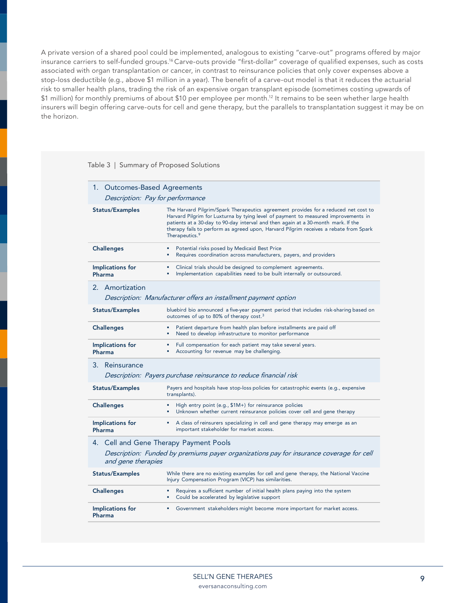A private version of a shared pool could be implemented, analogous to existing "carve-out" programs offered by major insurance carriers to self-funded groups.<sup>16</sup> Carve-outs provide "first-dollar" coverage of qualified expenses, such as costs associated with organ transplantation or cancer, in contrast to reinsurance policies that only cover expenses above a stop-loss deductible (e.g., above \$1 million in a year). The benefit of a carve-out model is that it reduces the actuarial risk to smaller health plans, trading the risk of an expensive organ transplant episode (sometimes costing upwards of \$1 million) for monthly premiums of about \$10 per employee per month.12 It remains to be seen whether large health insurers will begin offering carve-outs for cell and gene therapy, but the parallels to transplantation suggest it may be on the horizon.

Table 3 | Summary of Proposed Solutions

|                            | 1. Outcomes-Based Agreements                                                                                                                                                                                                                                                                                                                                                          |
|----------------------------|---------------------------------------------------------------------------------------------------------------------------------------------------------------------------------------------------------------------------------------------------------------------------------------------------------------------------------------------------------------------------------------|
|                            | Description: Pay for performance                                                                                                                                                                                                                                                                                                                                                      |
| <b>Status/Examples</b>     | The Harvard Pilgrim/Spark Therapeutics agreement provides for a reduced net cost to<br>Harvard Pilgrim for Luxturna by tying level of payment to measured improvements in<br>patients at a 30-day to 90-day interval and then again at a 30-month mark. If the<br>therapy fails to perform as agreed upon, Harvard Pilgrim receives a rebate from Spark<br>Therapeutics. <sup>9</sup> |
| <b>Challenges</b>          | Potential risks posed by Medicaid Best Price<br>Requires coordination across manufacturers, payers, and providers<br>٠                                                                                                                                                                                                                                                                |
| Implications for<br>Pharma | Clinical trials should be designed to complement agreements.<br>Implementation capabilities need to be built internally or outsourced.                                                                                                                                                                                                                                                |
| 2. Amortization            | Description: Manufacturer offers an installment payment option                                                                                                                                                                                                                                                                                                                        |
| <b>Status/Examples</b>     | bluebird bio announced a five-year payment period that includes risk-sharing based on<br>outcomes of up to 80% of therapy cost. <sup>3</sup>                                                                                                                                                                                                                                          |
| <b>Challenges</b>          | Patient departure from health plan before installments are paid off<br>Need to develop infrastructure to monitor performance                                                                                                                                                                                                                                                          |
| Implications for<br>Pharma | Full compensation for each patient may take several years.<br>٠<br>Accounting for revenue may be challenging.                                                                                                                                                                                                                                                                         |
| 3. Reinsurance             | Description: Payers purchase reinsurance to reduce financial risk                                                                                                                                                                                                                                                                                                                     |
| <b>Status/Examples</b>     | Payers and hospitals have stop-loss policies for catastrophic events (e.g., expensive<br>transplants).                                                                                                                                                                                                                                                                                |
| <b>Challenges</b>          | High entry point (e.g., \$1M+) for reinsurance policies<br>Unknown whether current reinsurance policies cover cell and gene therapy                                                                                                                                                                                                                                                   |
| Implications for<br>Pharma | • A class of reinsurers specializing in cell and gene therapy may emerge as an<br>important stakeholder for market access.                                                                                                                                                                                                                                                            |
|                            | 4. Cell and Gene Therapy Payment Pools                                                                                                                                                                                                                                                                                                                                                |
| and gene therapies         | Description: Funded by premiums payer organizations pay for insurance coverage for cell                                                                                                                                                                                                                                                                                               |
| <b>Status/Examples</b>     | While there are no existing examples for cell and gene therapy, the National Vaccine<br>Injury Compensation Program (VICP) has similarities.                                                                                                                                                                                                                                          |
| <b>Challenges</b>          | Requires a sufficient number of initial health plans paying into the system<br>Could be accelerated by legislative support<br>٠                                                                                                                                                                                                                                                       |
| Implications for<br>Pharma | Government stakeholders might become more important for market access.                                                                                                                                                                                                                                                                                                                |
|                            |                                                                                                                                                                                                                                                                                                                                                                                       |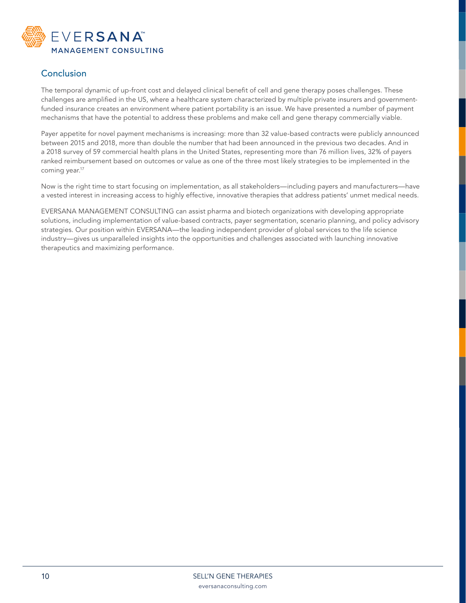

# Conclusion

The temporal dynamic of up-front cost and delayed clinical benefit of cell and gene therapy poses challenges. These challenges are amplified in the US, where a healthcare system characterized by multiple private insurers and governmentfunded insurance creates an environment where patient portability is an issue. We have presented a number of payment mechanisms that have the potential to address these problems and make cell and gene therapy commercially viable.

Payer appetite for novel payment mechanisms is increasing: more than 32 value-based contracts were publicly announced between 2015 and 2018, more than double the number that had been announced in the previous two decades. And in a 2018 survey of 59 commercial health plans in the United States, representing more than 76 million lives, 32% of payers ranked reimbursement based on outcomes or value as one of the three most likely strategies to be implemented in the coming year.<sup>17</sup>

Now is the right time to start focusing on implementation, as all stakeholders—including payers and manufacturers—have a vested interest in increasing access to highly effective, innovative therapies that address patients' unmet medical needs.

EVERSANA MANAGEMENT CONSULTING can assist pharma and biotech organizations with developing appropriate solutions, including implementation of value-based contracts, payer segmentation, scenario planning, and policy advisory strategies. Our position within EVERSANA—the leading independent provider of global services to the life science industry—gives us unparalleled insights into the opportunities and challenges associated with launching innovative therapeutics and maximizing performance.